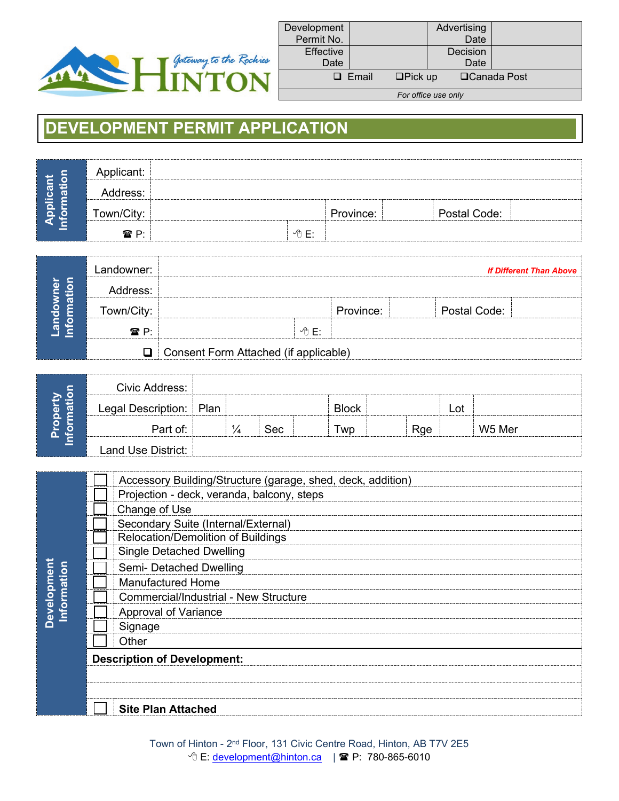

| Development<br>Permit No. |              |                | Advertising<br>Date |                     |
|---------------------------|--------------|----------------|---------------------|---------------------|
| <b>Effective</b><br>Date  |              |                | Decision<br>Date    |                     |
|                           | $\Box$ Email | $\Box$ Pick up |                     | <b>□Canada Post</b> |
|                           |              |                | For office use only |                     |

## **DEVELOPMENT PERMIT APPLICATION**

| O      | <br>                  |      |           |              |  |
|--------|-----------------------|------|-----------|--------------|--|
| w<br>v | Address:<br>--------- |      |           |              |  |
|        | Town/City:            |      | Province: | Postal Code: |  |
|        | <del></del> ም P       | ∽A F |           |              |  |

| Φ<br>O<br>ര | _andowner:              |                                       |      |         |              | <b>If Different Than Above</b> |
|-------------|-------------------------|---------------------------------------|------|---------|--------------|--------------------------------|
|             | ------------            |                                       |      |         |              |                                |
|             | T<br>------------------ |                                       |      | ovince: | Postal Code: |                                |
|             | ? P∙<br>                |                                       | . F∙ |         |              |                                |
|             | $\blacksquare$          | Consent Form Attached (if applicable) |      |         |              |                                |

| O  | Civic Address:     |      |     |              |            |     |        |
|----|--------------------|------|-----|--------------|------------|-----|--------|
| a١ | Legal Description: | Plan |     | <b>Block</b> |            | .ot |        |
|    | Part of:           |      | Sec | <b>WD</b>    | <b>Rge</b> |     | W5 Mer |
|    | Land Use District: |      |     |              |            |     |        |

|                    | Accessory Building/Structure (garage, shed, deck, addition) |  |  |  |  |  |
|--------------------|-------------------------------------------------------------|--|--|--|--|--|
|                    | Projection - deck, veranda, balcony, steps                  |  |  |  |  |  |
|                    | Change of Use                                               |  |  |  |  |  |
|                    | Secondary Suite (Internal/External)                         |  |  |  |  |  |
|                    | Relocation/Demolition of Buildings                          |  |  |  |  |  |
|                    | <b>Single Detached Dwelling</b>                             |  |  |  |  |  |
| <b>Development</b> | Semi- Detached Dwelling                                     |  |  |  |  |  |
| ation              | <b>Manufactured Home</b>                                    |  |  |  |  |  |
|                    | <b>Commercial/Industrial - New Structure</b>                |  |  |  |  |  |
| nfo                | Approval of Variance                                        |  |  |  |  |  |
|                    | Signage                                                     |  |  |  |  |  |
|                    | Other                                                       |  |  |  |  |  |
|                    | <b>Description of Development:</b>                          |  |  |  |  |  |
|                    |                                                             |  |  |  |  |  |
|                    |                                                             |  |  |  |  |  |
|                    | <b>Site Plan Attached</b>                                   |  |  |  |  |  |